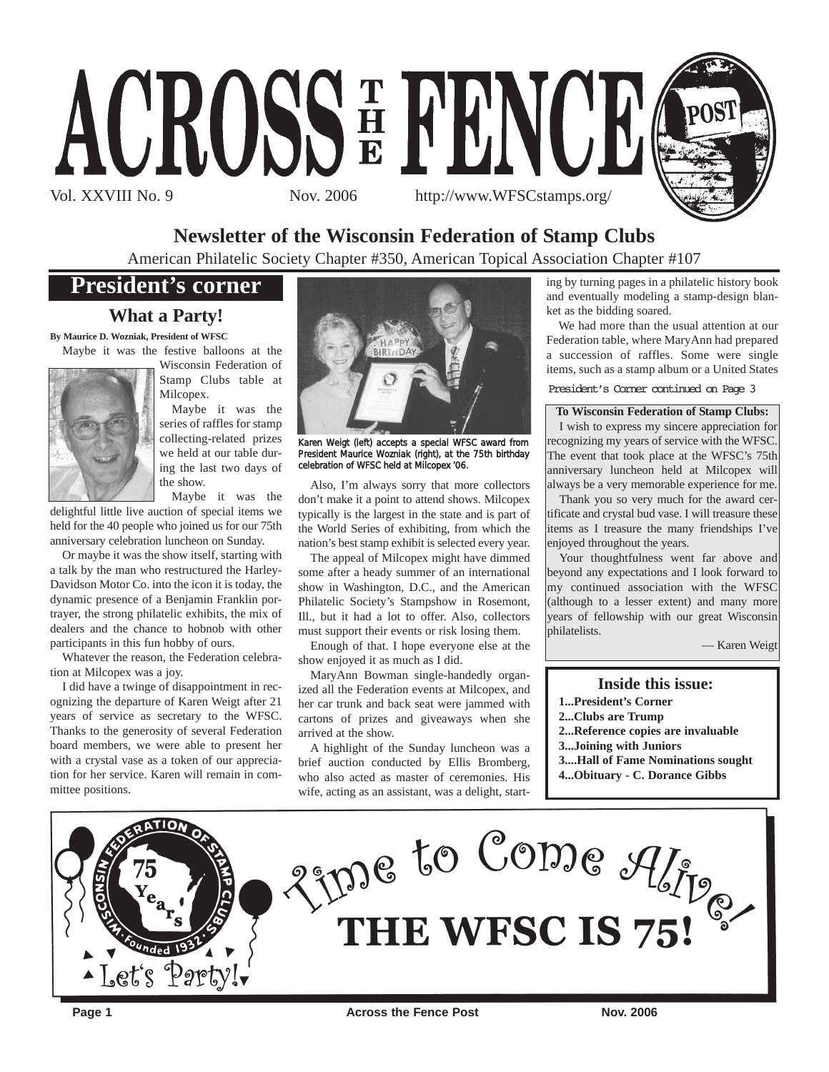

## **Newsletter of the Wisconsin Federation of Stamp Clubs**

American Philatelic Society Chapter #350, American Topical Association Chapter #107

# **President's corner**

### **What a Party!**

**By Maurice D. Wozniak, President of WFSC** Maybe it was the festive balloons at the



Wisconsin Federation of Stamp Clubs table at Milcopex.

Maybe it was the series of raffles for stamp collecting-related prizes we held at our table during the last two days of the show.

Maybe it was the delightful little live auction of special items we held for the 40 people who joined us for our 75th anniversary celebration luncheon on Sunday.

Or maybe it was the show itself, starting with a talk by the man who restructured the Harley-Davidson Motor Co. into the icon it is today, the dynamic presence of a Benjamin Franklin portrayer, the strong philatelic exhibits, the mix of dealers and the chance to hobnob with other participants in this fun hobby of ours.

Whatever the reason, the Federation celebration at Milcopex was a joy.

I did have a twinge of disappointment in recognizing the departure of Karen Weigt after 21 years of service as secretary to the WFSC. Thanks to the generosity of several Federation board members, we were able to present her with a crystal vase as a token of our appreciation for her service. Karen will remain in committee positions.



Karen Weigt (left) accepts a special WFSC award from President Maurice Wozniak (right), at the 75th birthday celebration of WFSC held at Milcopex '06.

Also, I'm always sorry that more collectors don't make it a point to attend shows. Milcopex typically is the largest in the state and is part of the World Series of exhibiting, from which the nation's best stamp exhibit is selected every year.

The appeal of Milcopex might have dimmed some after a heady summer of an international show in Washington, D.C., and the American Philatelic Society's Stampshow in Rosemont, Ill., but it had a lot to offer. Also, collectors must support their events or risk losing them.

Enough of that. I hope everyone else at the show enjoyed it as much as I did.

MaryAnn Bowman single-handedly organized all the Federation events at Milcopex, and her car trunk and back seat were jammed with cartons of prizes and giveaways when she arrived at the show.

A highlight of the Sunday luncheon was a brief auction conducted by Ellis Bromberg, who also acted as master of ceremonies. His wife, acting as an assistant, was a delight, start-

ing by turning pages in a philatelic history book and eventually modeling a stamp-design blanket as the bidding soared.

We had more than the usual attention at our Federation table, where MaryAnn had prepared a succession of raffles. Some were single items, such as a stamp album or a United States

President's Corner continued on Page 3

**To Wisconsin Federation of Stamp Clubs:**  I wish to express my sincere appreciation for recognizing my years of service with the WFSC.

The event that took place at the WFSC's 75th anniversary luncheon held at Milcopex will always be a very memorable experience for me.

Thank you so very much for the award certificate and crystal bud vase. I will treasure these items as I treasure the many friendships I've enjoyed throughout the years.

Your thoughtfulness went far above and beyond any expectations and I look forward to my continued association with the WFSC (although to a lesser extent) and many more years of fellowship with our great Wisconsin philatelists.

— Karen Weigt

#### **Inside this issue:**

- **1...President's Corner**
- **2...Clubs are Trump**
- **2...Reference copies are invaluable**
- **3...Joining with Juniors**
- **3....Hall of Fame Nominations sought**
- **4...Obituary C. Dorance Gibbs**



**Page 1** Across the Fence Post Nov. 2006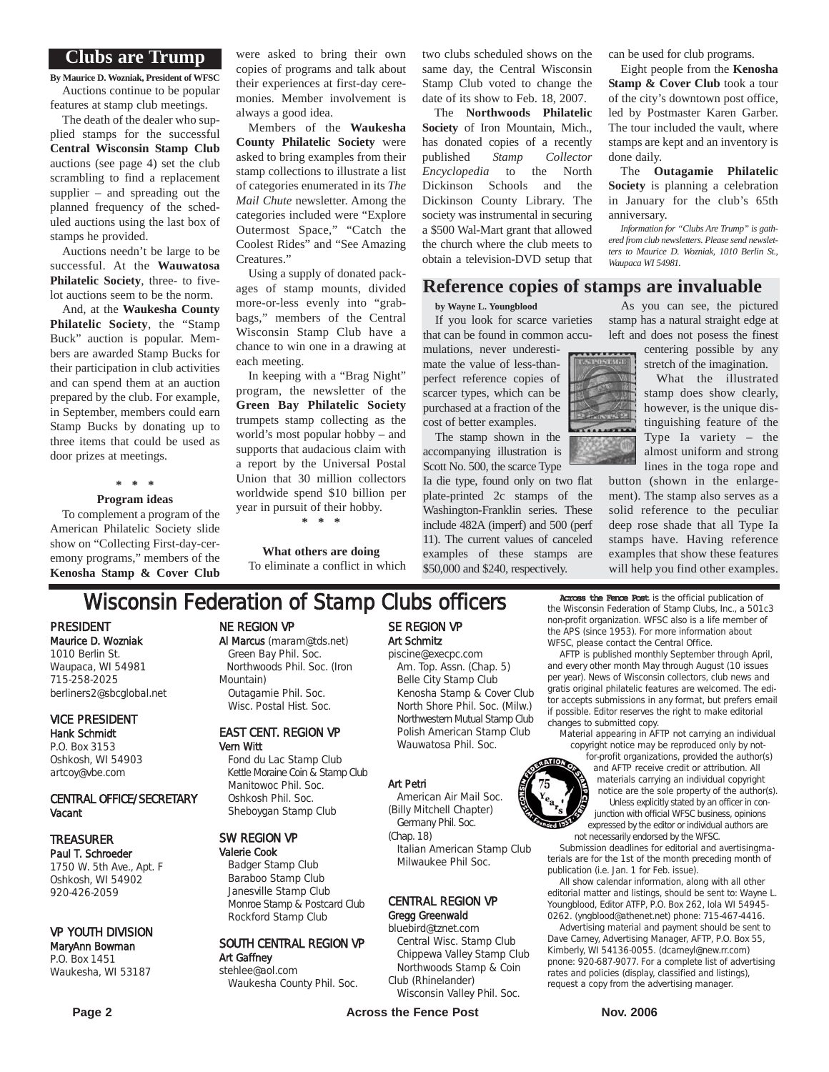#### **Clubs are Trump**

**By Maurice D. Wozniak, President of WFSC** Auctions continue to be popular features at stamp club meetings.

The death of the dealer who supplied stamps for the successful **Central Wisconsin Stamp Club** auctions (see page 4) set the club scrambling to find a replacement supplier – and spreading out the planned frequency of the scheduled auctions using the last box of stamps he provided.

Auctions needn't be large to be successful. At the **Wauwatosa Philatelic Society**, three- to fivelot auctions seem to be the norm.

And, at the **Waukesha County Philatelic Society**, the "Stamp Buck" auction is popular. Members are awarded Stamp Bucks for their participation in club activities and can spend them at an auction prepared by the club. For example, in September, members could earn Stamp Bucks by donating up to three items that could be used as door prizes at meetings.

**\* \* \***

#### **Program ideas**

To complement a program of the American Philatelic Society slide show on "Collecting First-day-ceremony programs," members of the **Kenosha Stamp & Cover Club**

were asked to bring their own copies of programs and talk about their experiences at first-day ceremonies. Member involvement is always a good idea.

Members of the **Waukesha County Philatelic Society** were asked to bring examples from their stamp collections to illustrate a list of categories enumerated in its *The Mail Chute* newsletter. Among the categories included were "Explore Outermost Space," "Catch the Coolest Rides" and "See Amazing Creatures."

Using a supply of donated packages of stamp mounts, divided more-or-less evenly into "grabbags," members of the Central Wisconsin Stamp Club have a chance to win one in a drawing at each meeting.

In keeping with a "Brag Night" program, the newsletter of the **Green Bay Philatelic Society** trumpets stamp collecting as the world's most popular hobby – and supports that audacious claim with a report by the Universal Postal Union that 30 million collectors worldwide spend \$10 billion per year in pursuit of their hobby.

**What others are doing** To eliminate a conflict in which

**\* \* \***

two clubs scheduled shows on the same day, the Central Wisconsin Stamp Club voted to change the date of its show to Feb. 18, 2007.

The **Northwoods Philatelic Society** of Iron Mountain, Mich., has donated copies of a recently published *Stamp Collector Encyclopedia* to the North Dickinson Schools Dickinson County Library. The society was instrumental in securing a \$500 Wal-Mart grant that allowed the church where the club meets to obtain a television-DVD setup that can be used for club programs.

Eight people from the **Kenosha Stamp & Cover Club** took a tour of the city's downtown post office, led by Postmaster Karen Garber. The tour included the vault, where stamps are kept and an inventory is done daily.

The **Outagamie Philatelic Society** is planning a celebration in January for the club's 65th anniversary.

*Information for "Clubs Are Trump" is gathered from club newsletters. Please send newsletters to Maurice D. Wozniak, 1010 Berlin St., Waupaca WI 54981.*

#### **Reference copies of stamps are invaluable**

**by Wayne L. Youngblood**

If you look for scarce varieties that can be found in common accu-

mulations, never underestimate the value of less-thanperfect reference copies of scarcer types, which can be purchased at a fraction of the cost of better examples.

The stamp shown in the accompanying illustration is Scott No. 500, the scarce Type

Ia die type, found only on two flat plate-printed 2c stamps of the Washington-Franklin series. These include 482A (imperf) and 500 (perf 11). The current values of canceled examples of these stamps are \$50,000 and \$240, respectively.

As you can see, the pictured stamp has a natural straight edge at left and does not posess the finest

centering possible by any stretch of the imagination.

What the illustrated stamp does show clearly, however, is the unique distinguishing feature of the Type Ia variety – the almost uniform and strong lines in the toga rope and

button (shown in the enlargement). The stamp also serves as a solid reference to the peculiar deep rose shade that all Type Ia stamps have. Having reference examples that show these features will help you find other examples.

**Wisconsin Federation of Stamp Clubs officers** Across the Fence Post is the official publication of the Wisconsin Federation of Stamp Clubs, Inc., a 501c3 non-profit organization. WFSC also is a life member of

the APS (since 1953). For more information about WFSC, please contact the Central Office. AFTP is published monthly September through April,

#### and every other month May through August (10 issues per year). News of Wisconsin collectors, club news and gratis original philatelic features are welcomed. The editor accepts submissions in any format, but prefers email if possible. Editor reserves the right to make editorial changes to submitted copy.

material appearing in AFTP not carrying an individual copyright notice may be reproduced only by not-

for-profit organizations, provided the author(s) and AFTP receive credit or attribution. All materials carrying an individual copyright notice are the sole property of the author(s). Unless explicitly stated by an officer in conjunction with official WFSC business, opinions expressed by the editor or individual authors are not necessarily endorsed by the WFSC.

Submission deadlines for editorial and avertisingmaterials are for the 1st of the month preceding month of publication (i.e. Jan. 1 for Feb. issue).

All show calendar information, along with all other editorial matter and listings, should be sent to: Wayne L. Youngblood, Editor ATFP, P.O. Box 262, Iola WI 54945- 0262. (yngblood@athenet.net) phone: 715-467-4416.

Advertising material and payment should be sent to Dave Carney, Advertising Manager, AFTP, P.O. Box 55, Kimberly, WI 54136-0055. (dcarneyl@new.rr.com) pnone: 920-687-9077. For a complete list of advertising rates and policies (display, classified and listings), request a copy from the advertising manager.

**Page 2** Nov. 2006 **Across the Fence Post** Nov. 2006

### VICE PRESIDENT Hank Schmidt

PRESIDENT Maurice D. Wozniak 1010 Berlin St. Waupaca, WI 54981 715-258-2025

P.O. Box 3153 Oshkosh, WI 54903 artcoy@vbe.com

berliners2@sbcglobal.net

#### CENTRAL OFFICE/SECRETARY Vacant

#### TREASURER

Paul T. Schroeder 1750 W. 5th Ave., Apt. F Oshkosh, WI 54902 920-426-2059

#### VP YOUTH DIVISION

#### MaryAnn Bowman P.O. Box 1451 Waukesha, WI 53187

#### Northwoods Phil. Soc. (Iron Mountain)

Outagamie Phil. Soc. Wisc. Postal Hist. Soc.

Al Marcus (maram@tds.net) Green Bay Phil. Soc.

NE REGION VP

#### EAST CENT. REGION VP Vern Witt

Fond du Lac Stamp Club Kettle Moraine Coin & Stamp Club Manitowoc Phil. Soc. Oshkosh Phil. Soc. Sheboygan Stamp Club

#### SW REGION VP

Valerie Cook Badger Stamp Club Baraboo Stamp Club Janesville Stamp Club Monroe Stamp & Postcard Club Rockford Stamp Club

SOUTH CENTRAL REGION VP Art Gaffney stehlee@aol.com

Waukesha County Phil. Soc.

#### SE REGION VP Art Schmitz piscine@execpc.com

Am. Top. Assn. (Chap. 5) Belle City Stamp Club Kenosha Stamp & Cover Club North Shore Phil. Soc. (Milw.) Northwestern Mutual Stamp Club Polish American Stamp Club Wauwatosa Phil. Soc.

#### Art Petri

American Air Mail Soc. (Billy Mitchell Chapter) Germany Phil. Soc.

(Chap. 18) Italian American Stamp Club Milwaukee Phil Soc.

#### CENTRAL REGION VP Gregg Greenwald

bluebird@tznet.com

Central Wisc. Stamp Club Chippewa Valley Stamp Club Northwoods Stamp & Coin Club (Rhinelander)

Wisconsin Valley Phil. Soc.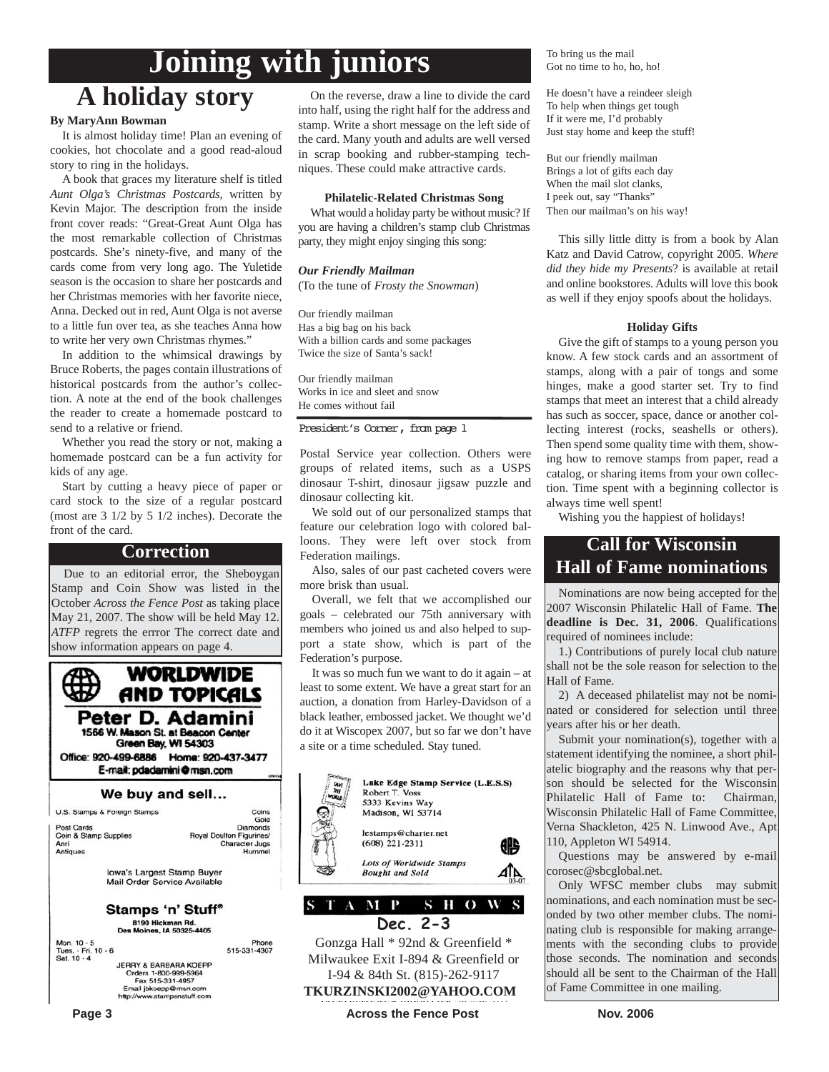# **Joining with juniors**

# **A holiday story**

#### **By MaryAnn Bowman**

It is almost holiday time! Plan an evening of cookies, hot chocolate and a good read-aloud story to ring in the holidays.

A book that graces my literature shelf is titled *Aunt Olga's Christmas Postcards,* written by Kevin Major. The description from the inside front cover reads: "Great-Great Aunt Olga has the most remarkable collection of Christmas postcards. She's ninety-five, and many of the cards come from very long ago. The Yuletide season is the occasion to share her postcards and her Christmas memories with her favorite niece, Anna. Decked out in red, Aunt Olga is not averse to a little fun over tea, as she teaches Anna how to write her very own Christmas rhymes."

In addition to the whimsical drawings by Bruce Roberts, the pages contain illustrations of historical postcards from the author's collection. A note at the end of the book challenges the reader to create a homemade postcard to send to a relative or friend.

Whether you read the story or not, making a homemade postcard can be a fun activity for kids of any age.

Start by cutting a heavy piece of paper or card stock to the size of a regular postcard (most are 3 1/2 by 5 1/2 inches). Decorate the front of the card.

### **Correction**

Due to an editorial error, the Sheboygan Stamp and Coin Show was listed in the October *Across the Fence Post* as taking place May 21, 2007. The show will be held May 12. *ATFP* regrets the errror The correct date and show information appears on page 4.



| U.S. Stamps & Foreign Stamps | Coins                    |
|------------------------------|--------------------------|
|                              | Gold                     |
| Post Cards                   | <b>Diamonds</b>          |
| Coin & Stamp Supplies        | Royal Doulton Figurines/ |
| Anri                         | <b>Character Jugs</b>    |
| Antiques                     | Hummel                   |
| Iowa's Largest Stamp Buyer   |                          |
| Mail Order Service Available |                          |

Stamps 'n' Stuff® s<br>
8190 Hickman Rd.<br>
Des Moines, IA 50325-4405

| Mon. 10 - 5                      | Phone        |
|----------------------------------|--------------|
| Tues. - Fri. 10 - 6              | 515-331-4307 |
| Sat. 10 - 4                      |              |
| <b>JERRY &amp; BARBARA KOEPP</b> |              |
| Orders 1-800-999-5964            |              |
| Fax 515-331-4957                 |              |
| Email jbkoepp@msn.com            |              |
| http://www.stampsnstuff.com      |              |
|                                  |              |

On the reverse, draw a line to divide the card into half, using the right half for the address and stamp. Write a short message on the left side of the card. Many youth and adults are well versed in scrap booking and rubber-stamping techniques. These could make attractive cards.

#### **Philatelic-Related Christmas Song**

What would a holiday party be without music? If you are having a children's stamp club Christmas party, they might enjoy singing this song:

#### *Our Friendly Mailman*

(To the tune of *Frosty the Snowman*)

Our friendly mailman Has a big bag on his back With a billion cards and some packages Twice the size of Santa's sack!

Our friendly mailman Works in ice and sleet and snow He comes without fail

#### President's Corner, from page 1

Postal Service year collection. Others were groups of related items, such as a USPS dinosaur T-shirt, dinosaur jigsaw puzzle and dinosaur collecting kit.

We sold out of our personalized stamps that feature our celebration logo with colored balloons. They were left over stock from Federation mailings.

Also, sales of our past cacheted covers were more brisk than usual.

Overall, we felt that we accomplished our goals – celebrated our 75th anniversary with members who joined us and also helped to support a state show, which is part of the Federation's purpose.

It was so much fun we want to do it again – at least to some extent. We have a great start for an auction, a donation from Harley-Davidson of a black leather, embossed jacket. We thought we'd do it at Wiscopex 2007, but so far we don't have a site or a time scheduled. Stay tuned.



Gonzga Hall \* 92nd & Greenfield \* Milwaukee Exit I-894 & Greenfield or I-94 & 84th St. (815)-262-9117 **TKURZINSKI2002@YAHOO.COM**

**Page 3** Nov. 2006 **Across the Fence Post** Nov. 2006

To bring us the mail Got no time to ho, ho, ho!

He doesn't have a reindeer sleigh To help when things get tough If it were me, I'd probably Just stay home and keep the stuff!

But our friendly mailman Brings a lot of gifts each day When the mail slot clanks, I peek out, say "Thanks" Then our mailman's on his way!

This silly little ditty is from a book by Alan Katz and David Catrow, copyright 2005. *Where did they hide my Presents*? is available at retail and online bookstores. Adults will love this book as well if they enjoy spoofs about the holidays.

#### **Holiday Gifts**

Give the gift of stamps to a young person you know. A few stock cards and an assortment of stamps, along with a pair of tongs and some hinges, make a good starter set. Try to find stamps that meet an interest that a child already has such as soccer, space, dance or another collecting interest (rocks, seashells or others). Then spend some quality time with them, showing how to remove stamps from paper, read a catalog, or sharing items from your own collection. Time spent with a beginning collector is always time well spent!

Wishing you the happiest of holidays!

### **Call for Wisconsin Hall of Fame nominations**

Nominations are now being accepted for the 2007 Wisconsin Philatelic Hall of Fame. **The deadline is Dec. 31, 2006**. Qualifications required of nominees include:

1.) Contributions of purely local club nature shall not be the sole reason for selection to the Hall of Fame.

2) A deceased philatelist may not be nominated or considered for selection until three years after his or her death.

Submit your nomination(s), together with a statement identifying the nominee, a short philatelic biography and the reasons why that person should be selected for the Wisconsin Philatelic Hall of Fame to: Chairman, Wisconsin Philatelic Hall of Fame Committee, Verna Shackleton, 425 N. Linwood Ave., Apt 110, Appleton WI 54914.

Questions may be answered by e-mail corosec@sbcglobal.net.

Only WFSC member clubs may submit nominations, and each nomination must be seconded by two other member clubs. The nominating club is responsible for making arrangements with the seconding clubs to provide those seconds. The nomination and seconds should all be sent to the Chairman of the Hall of Fame Committee in one mailing.